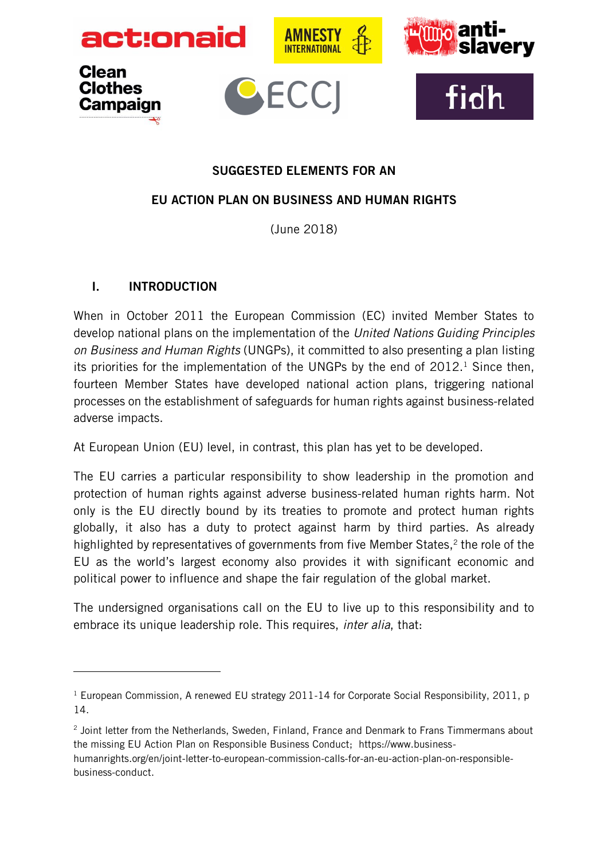









#### SUGGESTED ELEMENTS FOR AN

#### EU ACTION PLAN ON BUSINESS AND HUMAN RIGHTS

(June 2018)

#### I. INTRODUCTION

 $\overline{a}$ 

When in October 2011 the European Commission (EC) invited Member States to develop national plans on the implementation of the *United Nations Guiding Principles on Business and Human Rights* (UNGPs), it committed to also presenting a plan listing its priorities for the implementation of the UNGPs by the end of  $2012<sup>1</sup>$  Since then, fourteen Member States have developed national action plans, triggering national processes on the establishment of safeguards for human rights against business-related adverse impacts.

At European Union (EU) level, in contrast, this plan has yet to be developed.

The EU carries a particular responsibility to show leadership in the promotion and protection of human rights against adverse business-related human rights harm. Not only is the EU directly bound by its treaties to promote and protect human rights globally, it also has a duty to protect against harm by third parties. As already highlighted by representatives of governments from five Member States,<sup>2</sup> the role of the EU as the world's largest economy also provides it with significant economic and political power to influence and shape the fair regulation of the global market.

The undersigned organisations call on the EU to live up to this responsibility and to embrace its unique leadership role. This requires, *inter alia*, that:

<sup>&</sup>lt;sup>1</sup> European Commission, A renewed EU strategy 2011-14 for Corporate Social Responsibility, 2011, p 14.

<sup>&</sup>lt;sup>2</sup> Joint letter from the Netherlands, Sweden, Finland, France and Denmark to Frans Timmermans about the missing EU Action Plan on Responsible Business Conduct; https://www.businesshumanrights.org/en/joint-letter-to-european-commission-calls-for-an-eu-action-plan-on-responsiblebusiness-conduct.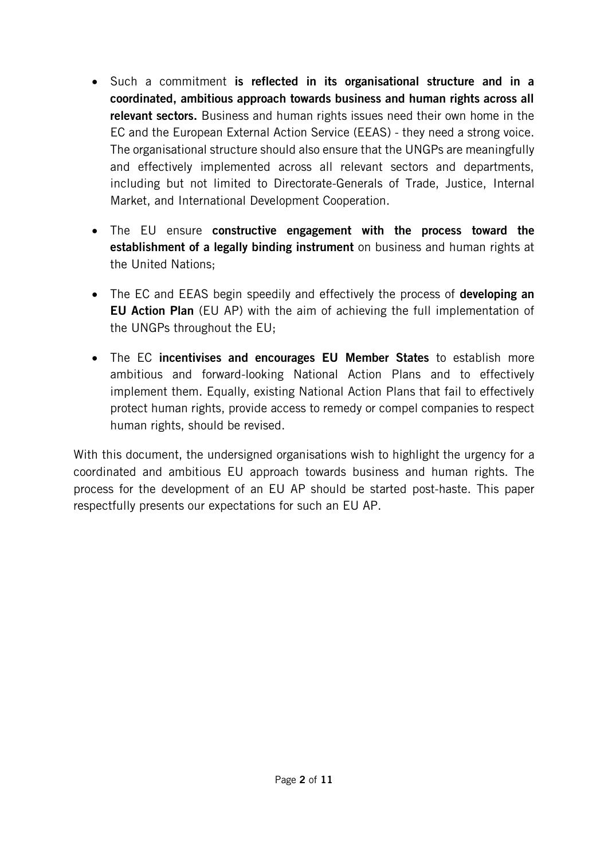- Such a commitment is reflected in its organisational structure and in a coordinated, ambitious approach towards business and human rights across all relevant sectors. Business and human rights issues need their own home in the EC and the European External Action Service (EEAS) - they need a strong voice. The organisational structure should also ensure that the UNGPs are meaningfully and effectively implemented across all relevant sectors and departments, including but not limited to Directorate-Generals of Trade, Justice, Internal Market, and International Development Cooperation.
- The EU ensure constructive engagement with the process toward the **establishment of a legally binding instrument** on business and human rights at the United Nations;
- The EC and EEAS begin speedily and effectively the process of **developing an** EU Action Plan (EU AP) with the aim of achieving the full implementation of the UNGPs throughout the EU;
- The EC incentivises and encourages EU Member States to establish more ambitious and forward-looking National Action Plans and to effectively implement them. Equally, existing National Action Plans that fail to effectively protect human rights, provide access to remedy or compel companies to respect human rights, should be revised.

With this document, the undersigned organisations wish to highlight the urgency for a coordinated and ambitious EU approach towards business and human rights. The process for the development of an EU AP should be started post-haste. This paper respectfully presents our expectations for such an EU AP.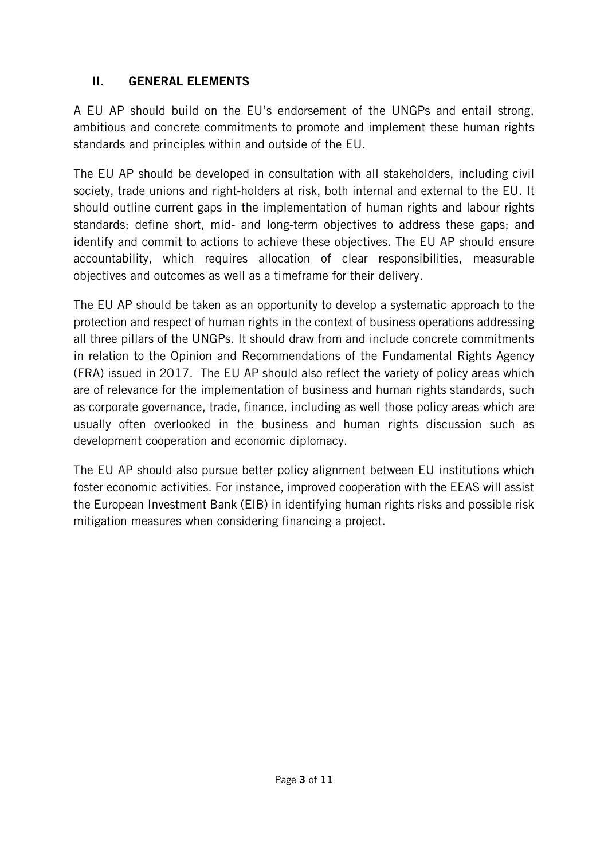## II. GENERAL ELEMENTS

A EU AP should build on the EU's endorsement of the UNGPs and entail strong, ambitious and concrete commitments to promote and implement these human rights standards and principles within and outside of the EU.

The EU AP should be developed in consultation with all stakeholders, including civil society, trade unions and right-holders at risk, both internal and external to the EU. It should outline current gaps in the implementation of human rights and labour rights standards; define short, mid- and long-term objectives to address these gaps; and identify and commit to actions to achieve these objectives. The EU AP should ensure accountability, which requires allocation of clear responsibilities, measurable objectives and outcomes as well as a timeframe for their delivery.

The EU AP should be taken as an opportunity to develop a systematic approach to the protection and respect of human rights in the context of business operations addressing all three pillars of the UNGPs. It should draw from and include concrete commitments in relation to the Opinion and [Recommendations](http://www.dw.com/en/eu-commission-plans-ban-on-plastic-waste/a-43949554) of the Fundamental Rights Agency (FRA) issued in 2017. The EU AP should also reflect the variety of policy areas which are of relevance for the implementation of business and human rights standards, such as corporate governance, trade, finance, including as well those policy areas which are usually often overlooked in the business and human rights discussion such as development cooperation and economic diplomacy.

The EU AP should also pursue better policy alignment between EU institutions which foster economic activities. For instance, improved cooperation with the EEAS will assist the European Investment Bank (EIB) in identifying human rights risks and possible risk mitigation measures when considering financing a project.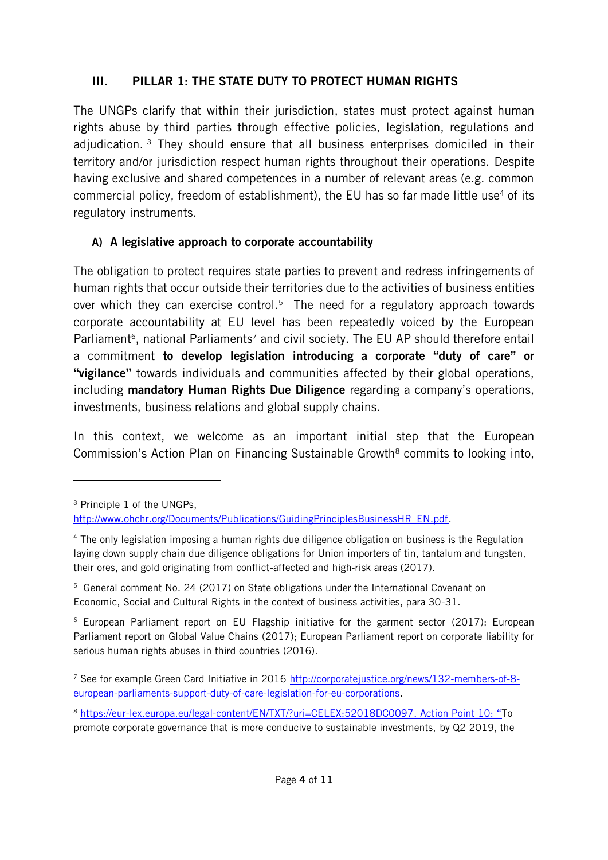## III. PILLAR 1: THE STATE DUTY TO PROTECT HUMAN RIGHTS

The UNGPs clarify that within their jurisdiction, states must protect against human rights abuse by third parties through effective policies, legislation, regulations and adjudication.<sup>3</sup> They should ensure that all business enterprises domiciled in their territory and/or jurisdiction respect human rights throughout their operations. Despite having exclusive and shared competences in a number of relevant areas (e.g. common commercial policy, freedom of establishment), the EU has so far made little use<sup>4</sup> of its regulatory instruments.

#### A) A legislative approach to corporate accountability

The obligation to protect requires state parties to prevent and redress infringements of human rights that occur outside their territories due to the activities of business entities over which they can exercise control.<sup>5</sup> The need for a regulatory approach towards corporate accountability at EU level has been repeatedly voiced by the European Parliament<sup>6</sup>, national Parliaments<sup>7</sup> and civil society. The EU AP should therefore entail a commitment to develop legislation introducing a corporate "duty of care" or "vigilance" towards individuals and communities affected by their global operations, including mandatory Human Rights Due Diligence regarding a company's operations, investments, business relations and global supply chains.

In this context, we welcome as an important initial step that the European Commission's Action Plan on Financing Sustainable Growth<sup>8</sup> commits to looking into,

<sup>3</sup> Principle 1 of the UNGPs,

[http://www.ohchr.org/Documents/Publications/GuidingPrinciplesBusinessHR\\_EN.pdf.](http://www.ohchr.org/Documents/Publications/GuidingPrinciplesBusinessHR_EN.pdf)

<sup>4</sup> The only legislation imposing a human rights due diligence obligation on business is the Regulation laying down supply chain due diligence obligations for Union importers of tin, tantalum and tungsten, their ores, and gold originating from conflict-affected and high-risk areas (2017).

<sup>5</sup> General comment No. 24 (2017) on State obligations under the International Covenant on Economic, Social and Cultural Rights in the context of business activities, para 30-31.

<sup>6</sup> [European Parliament report on EU Flagship initiative for the garment sector](http://www.europarl.europa.eu/sides/getDoc.do?pubRef=-//EP//TEXT+REPORT+A8-2017-0080+0+DOC+XML+V0//EN&language=en) (2017); [European](http://www.europarl.europa.eu/sides/getDoc.do?pubRef=-//EP//TEXT+REPORT+A8-2017-0269+0+DOC+XML+V0//EN)  [Parliament report on Global Value Chains](http://www.europarl.europa.eu/sides/getDoc.do?pubRef=-//EP//TEXT+REPORT+A8-2017-0269+0+DOC+XML+V0//EN) [\(2017\);](http://www.europarl.europa.eu/sides/getDoc.do?pubRef=-//EP//TEXT+REPORT+A8-2017-0269+0+DOC+XML+V0//EN) [European Parliament report on corporate liability for](http://www.europarl.europa.eu/sides/getDoc.do?type=REPORT&reference=A8-2016-0243&language=EN)  [serious human rights abuses in third countries](http://www.europarl.europa.eu/sides/getDoc.do?type=REPORT&reference=A8-2016-0243&language=EN) (2016).

<sup>7</sup> See for example Green Card Initiative in 2016 [http://corporatejustice.org/news/132-members-of-8](http://corporatejustice.org/news/132-members-of-8-european-parliaments-support-duty-of-care-legislation-for-eu-corporations) [european-parliaments-support-duty-of-care-legislation-for-eu-corporations.](http://corporatejustice.org/news/132-members-of-8-european-parliaments-support-duty-of-care-legislation-for-eu-corporations)

<sup>8</sup> <https://eur-lex.europa.eu/legal-content/EN/TXT/?uri=CELEX:52018DC0097>. Action Point 10: "To promote corporate governance that is more conducive to sustainable investments, by Q2 2019, the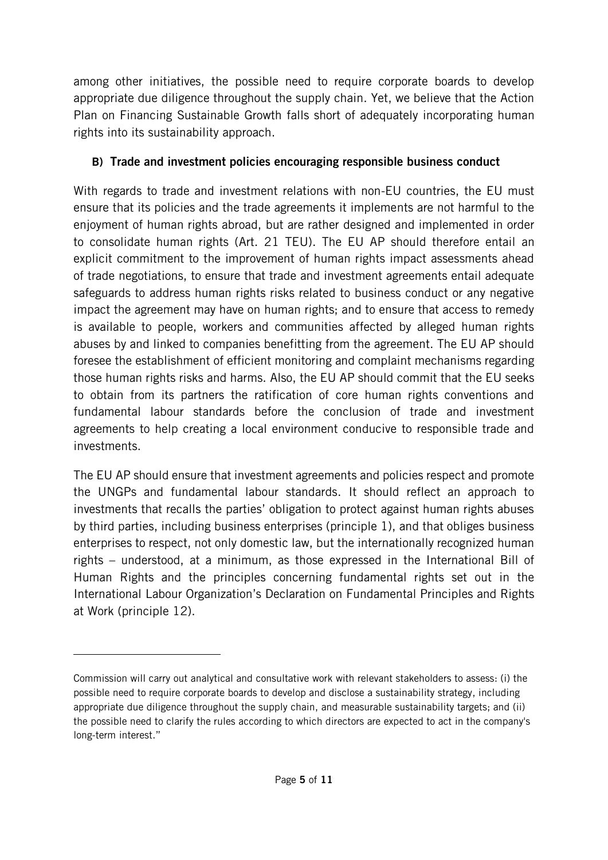among other initiatives, the possible need to require corporate boards to develop appropriate due diligence throughout the supply chain. Yet, we believe that the Action Plan on Financing Sustainable Growth falls short of adequately incorporating human rights into its sustainability approach.

## B) Trade and investment policies encouraging responsible business conduct

With regards to trade and investment relations with non-EU countries, the EU must ensure that its policies and the trade agreements it implements are not harmful to the enjoyment of human rights abroad, but are rather designed and implemented in order to consolidate human rights (Art. 21 TEU). The EU AP should therefore entail an explicit commitment to the improvement of human rights impact assessments ahead of trade negotiations, to ensure that trade and investment agreements entail adequate safeguards to address human rights risks related to business conduct or any negative impact the agreement may have on human rights; and to ensure that access to remedy is available to people, workers and communities affected by alleged human rights abuses by and linked to companies benefitting from the agreement. The EU AP should foresee the establishment of efficient monitoring and complaint mechanisms regarding those human rights risks and harms. Also, the EU AP should commit that the EU seeks to obtain from its partners the ratification of core human rights conventions and fundamental labour standards before the conclusion of trade and investment agreements to help creating a local environment conducive to responsible trade and investments.

The EU AP should ensure that investment agreements and policies respect and promote the UNGPs and fundamental labour standards. It should reflect an approach to investments that recalls the parties' obligation to protect against human rights abuses by third parties, including business enterprises (principle 1), and that obliges business enterprises to respect, not only domestic law, but the internationally recognized human rights – understood, at a minimum, as those expressed in the International Bill of Human Rights and the principles concerning fundamental rights set out in the International Labour Organization's Declaration on Fundamental Principles and Rights at Work (principle 12).

Commission will carry out analytical and consultative work with relevant stakeholders to assess: (i) the possible need to require corporate boards to develop and disclose a sustainability strategy, including appropriate due diligence throughout the supply chain, and measurable sustainability targets; and (ii) the possible need to clarify the rules according to which directors are expected to act in the company's long-term interest."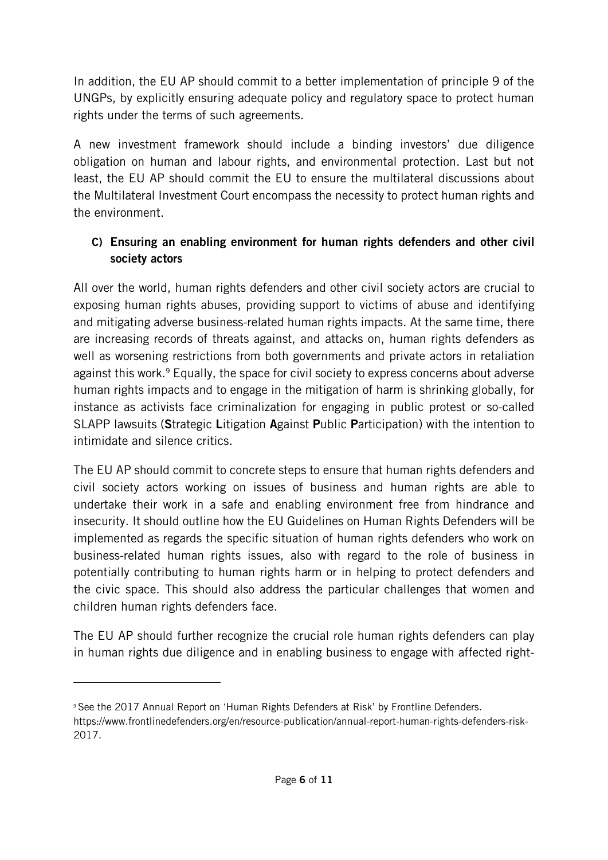In addition, the EU AP should commit to a better implementation of principle 9 of the UNGPs, by explicitly ensuring adequate policy and regulatory space to protect human rights under the terms of such agreements.

A new investment framework should include a binding investors' due diligence obligation on human and labour rights, and environmental protection. Last but not least, the EU AP should commit the EU to ensure the multilateral discussions about the Multilateral Investment Court encompass the necessity to protect human rights and the environment.

## C) Ensuring an enabling environment for human rights defenders and other civil society actors

All over the world, human rights defenders and other civil society actors are crucial to exposing human rights abuses, providing support to victims of abuse and identifying and mitigating adverse business-related human rights impacts. At the same time, there are increasing records of threats against, and attacks on, human rights defenders as well as worsening restrictions from both governments and private actors in retaliation against this work. <sup>9</sup> Equally, the space for civil society to express concerns about adverse human rights impacts and to engage in the mitigation of harm is shrinking globally, for instance as activists face criminalization for engaging in public protest or so-called SLAPP lawsuits (Strategic Litigation Against Public Participation) with the intention to intimidate and silence critics.

The EU AP should commit to concrete steps to ensure that human rights defenders and civil society actors working on issues of business and human rights are able to undertake their work in a safe and enabling environment free from hindrance and insecurity. It should outline how the EU Guidelines on Human Rights Defenders will be implemented as regards the specific situation of human rights defenders who work on business-related human rights issues, also with regard to the role of business in potentially contributing to human rights harm or in helping to protect defenders and the civic space. This should also address the particular challenges that women and children human rights defenders face.

The EU AP should further recognize the crucial role human rights defenders can play in human rights due diligence and in enabling business to engage with affected right-

<sup>9</sup> See the 2017 Annual Report on 'Human Rights Defenders at Risk' by Frontline Defenders. https://www.frontlinedefenders.org/en/resource-publication/annual-report-human-rights-defenders-risk-2017.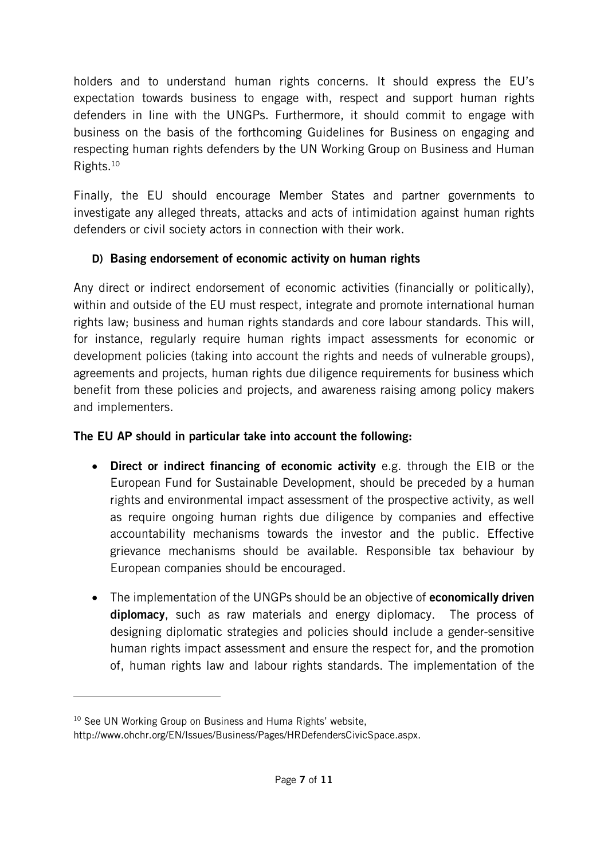holders and to understand human rights concerns. It should express the EU's expectation towards business to engage with, respect and support human rights defenders in line with the UNGPs. Furthermore, it should commit to engage with business on the basis of the forthcoming Guidelines for Business on engaging and respecting human rights defenders by the UN Working Group on Business and Human Rights.<sup>10</sup>

Finally, the EU should encourage Member States and partner governments to investigate any alleged threats, attacks and acts of intimidation against human rights defenders or civil society actors in connection with their work.

## D) Basing endorsement of economic activity on human rights

Any direct or indirect endorsement of economic activities (financially or politically), within and outside of the EU must respect, integrate and promote international human rights law; business and human rights standards and core labour standards. This will, for instance, regularly require human rights impact assessments for economic or development policies (taking into account the rights and needs of vulnerable groups), agreements and projects, human rights due diligence requirements for business which benefit from these policies and projects, and awareness raising among policy makers and implementers.

# The EU AP should in particular take into account the following:

- Direct or indirect financing of economic activity e.g. through the EIB or the European Fund for Sustainable Development, should be preceded by a human rights and environmental impact assessment of the prospective activity, as well as require ongoing human rights due diligence by companies and effective accountability mechanisms towards the investor and the public. Effective grievance mechanisms should be available. Responsible tax behaviour by European companies should be encouraged.
- The implementation of the UNGPs should be an objective of **economically driven** diplomacy, such as raw materials and energy diplomacy. The process of designing diplomatic strategies and policies should include a gender-sensitive human rights impact assessment and ensure the respect for, and the promotion of, human rights law and labour rights standards. The implementation of the

<sup>&</sup>lt;sup>10</sup> See UN Working Group on Business and Huma Rights' website,

http://www.ohchr.org/EN/Issues/Business/Pages/HRDefendersCivicSpace.aspx.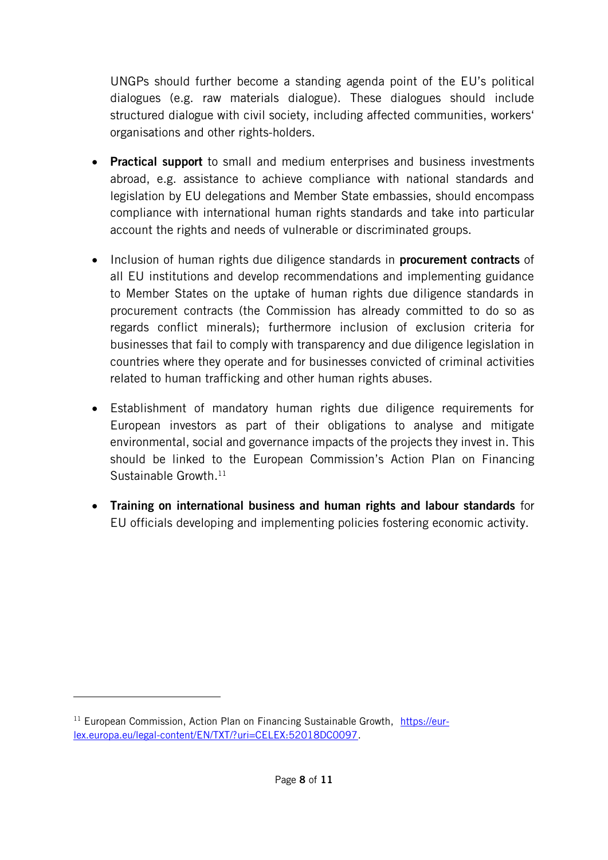UNGPs should further become a standing agenda point of the EU's political dialogues (e.g. raw materials dialogue). These dialogues should include structured dialogue with civil society, including affected communities, workers' organisations and other rights-holders.

- Practical support to small and medium enterprises and business investments abroad, e.g. assistance to achieve compliance with national standards and legislation by EU delegations and Member State embassies, should encompass compliance with international human rights standards and take into particular account the rights and needs of vulnerable or discriminated groups.
- Inclusion of human rights due diligence standards in **procurement contracts** of all EU institutions and develop recommendations and implementing guidance to Member States on the uptake of human rights due diligence standards in procurement contracts (the Commission has already committed to do so as regards conflict minerals); furthermore inclusion of exclusion criteria for businesses that fail to comply with transparency and due diligence legislation in countries where they operate and for businesses convicted of criminal activities related to human trafficking and other human rights abuses.
- Establishment of mandatory human rights due diligence requirements for European investors as part of their obligations to analyse and mitigate environmental, social and governance impacts of the projects they invest in. This should be linked to the European Commission's Action Plan on Financing Sustainable Growth. 11
- Training on international business and human rights and labour standards for EU officials developing and implementing policies fostering economic activity.

<sup>&</sup>lt;sup>11</sup> European Commission, Action Plan on Financing Sustainable Growth, [https://eur](https://eur-lex.europa.eu/legal-content/EN/TXT/?uri=CELEX:52018DC0097)[lex.europa.eu/legal-content/EN/TXT/?uri=CELEX:52018DC0097.](https://eur-lex.europa.eu/legal-content/EN/TXT/?uri=CELEX:52018DC0097)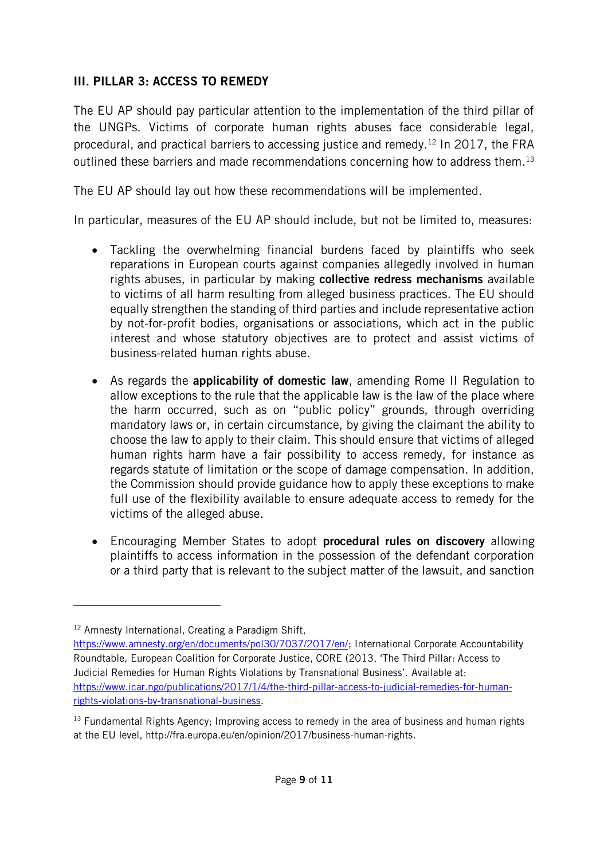### III. PILLAR 3: ACCESS TO REMEDY

The EU AP should pay particular attention to the implementation of the third pillar of the UNGPs. Victims of corporate human rights abuses face considerable legal, procedural, and practical barriers to accessing justice and remedy.<sup>12</sup> In 2017, the FRA outlined these barriers and made recommendations concerning how to address them. 13

The EU AP should lay out how these recommendations will be implemented.

In particular, measures of the EU AP should include, but not be limited to, measures:

- Tackling the overwhelming financial burdens faced by plaintiffs who seek reparations in European courts against companies allegedly involved in human rights abuses, in particular by making collective redress mechanisms available to victims of all harm resulting from alleged business practices. The EU should equally strengthen the standing of third parties and include representative action by not-for-profit bodies, organisations or associations, which act in the public interest and whose statutory objectives are to protect and assist victims of business-related human rights abuse.
- As regards the **applicability of domestic law**, amending Rome II Regulation to allow exceptions to the rule that the applicable law is the law of the place where the harm occurred, such as on "public policy" grounds, through overriding mandatory laws or, in certain circumstance, by giving the claimant the ability to choose the law to apply to their claim. This should ensure that victims of alleged human rights harm have a fair possibility to access remedy, for instance as regards statute of limitation or the scope of damage compensation. In addition, the Commission should provide guidance how to apply these exceptions to make full use of the flexibility available to ensure adequate access to remedy for the victims of the alleged abuse.
- Encouraging Member States to adopt **procedural rules on discovery** allowing plaintiffs to access information in the possession of the defendant corporation or a third party that is relevant to the subject matter of the lawsuit, and sanction

<sup>&</sup>lt;sup>12</sup> Amnesty International, Creating a Paradigm Shift,

[https://www.amnesty.org/en/documents/pol30/7037/2017/en/;](https://www.amnesty.org/en/documents/pol30/7037/2017/en/) International Corporate Accountability Roundtable, European Coalition for Corporate Justice, CORE (2013, 'The Third Pillar: Access to Judicial Remedies for Human Rights Violations by Transnational Business'. Available at: [https://www.icar.ngo/publications/2017/1/4/the-third-pillar-access-to-judicial-remedies-for-human](https://www.icar.ngo/publications/2017/1/4/the-third-pillar-access-to-judicial-remedies-for-human-rights-violations-by-transnational-business)[rights-violations-by-transnational-business.](https://www.icar.ngo/publications/2017/1/4/the-third-pillar-access-to-judicial-remedies-for-human-rights-violations-by-transnational-business)

<sup>&</sup>lt;sup>13</sup> Fundamental Rights Agency; Improving access to remedy in the area of business and human rights at the EU level, http://fra.europa.eu/en/opinion/2017/business-human-rights.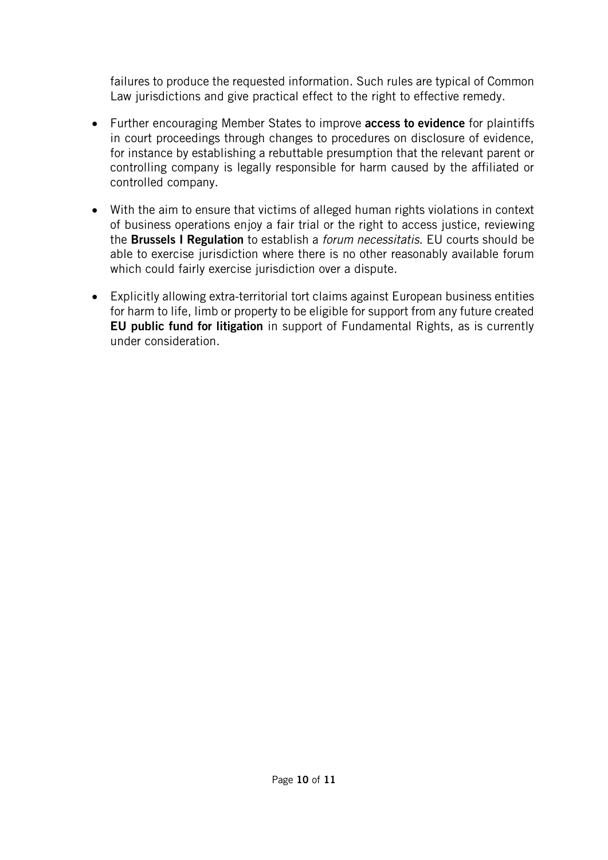failures to produce the requested information. Such rules are typical of Common Law jurisdictions and give practical effect to the right to effective remedy.

- Further encouraging Member States to improve **access to evidence** for plaintiffs in court proceedings through changes to procedures on disclosure of evidence, for instance by establishing a rebuttable presumption that the relevant parent or controlling company is legally responsible for harm caused by the affiliated or controlled company.
- With the aim to ensure that victims of alleged human rights violations in context of business operations enjoy a fair trial or the right to access justice, reviewing the Brussels I Regulation to establish a *forum necessitatis*. EU courts should be able to exercise jurisdiction where there is no other reasonably available forum which could fairly exercise jurisdiction over a dispute.
- Explicitly allowing extra-territorial tort claims against European business entities for harm to life, limb or property to be eligible for support from any future created EU public fund for litigation in support of Fundamental Rights, as is currently under consideration.